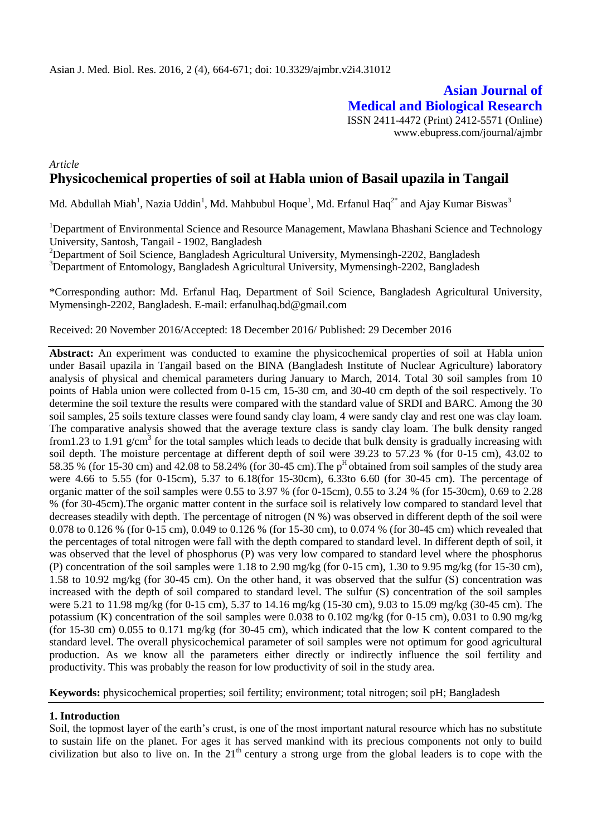**Asian Journal of Medical and Biological Research** ISSN 2411-4472 (Print) 2412-5571 (Online) www.ebupress.com/journal/ajmbr

## *Article* **Physicochemical properties of soil at Habla union of Basail upazila in Tangail**

Md. Abdullah Miah<sup>1</sup>, Nazia Uddin<sup>1</sup>, Md. Mahbubul Hoque<sup>1</sup>, Md. Erfanul Haq<sup>2\*</sup> and Ajay Kumar Biswas<sup>3</sup>

<sup>1</sup>Department of Environmental Science and Resource Management, Mawlana Bhashani Science and Technology University, Santosh, Tangail - 1902, Bangladesh

<sup>2</sup>Department of Soil Science, Bangladesh Agricultural University, Mymensingh-2202, Bangladesh

<sup>3</sup>Department of Entomology, Bangladesh Agricultural University, Mymensingh-2202, Bangladesh

\*Corresponding author: Md. Erfanul Haq, Department of Soil Science, Bangladesh Agricultural University, Mymensingh-2202, Bangladesh. E-mail: [erfanulhaq.bd@gmail.com](mailto:erfanulhaq.bd@gmail.com)

Received: 20 November 2016/Accepted: 18 December 2016/ Published: 29 December 2016

**Abstract:** An experiment was conducted to examine the physicochemical properties of soil at Habla union under Basail upazila in Tangail based on the BINA (Bangladesh Institute of Nuclear Agriculture) laboratory analysis of physical and chemical parameters during January to March, 2014. Total 30 soil samples from 10 points of Habla union were collected from 0-15 cm, 15-30 cm, and 30-40 cm depth of the soil respectively. To determine the soil texture the results were compared with the standard value of SRDI and BARC. Among the 30 soil samples, 25 soils texture classes were found sandy clay loam, 4 were sandy clay and rest one was clay loam. The comparative analysis showed that the average texture class is sandy clay loam. The bulk density ranged from1.23 to 1.91 g/cm<sup>3</sup> for the total samples which leads to decide that bulk density is gradually increasing with soil depth. The moisture percentage at different depth of soil were 39.23 to 57.23 % (for 0-15 cm), 43.02 to 58.35  $\%$  (for 15-30 cm) and 42.08 to 58.24% (for 30-45 cm). The p<sup>H</sup> obtained from soil samples of the study area were 4.66 to 5.55 (for 0-15cm), 5.37 to 6.18(for 15-30cm), 6.33to 6.60 (for 30-45 cm). The percentage of organic matter of the soil samples were 0.55 to 3.97 % (for 0-15cm), 0.55 to 3.24 % (for 15-30cm), 0.69 to 2.28 % (for 30-45cm).The organic matter content in the surface soil is relatively low compared to standard level that decreases steadily with depth. The percentage of nitrogen (N %) was observed in different depth of the soil were 0.078 to 0.126 % (for 0-15 cm), 0.049 to 0.126 % (for 15-30 cm), to 0.074 % (for 30-45 cm) which revealed that the percentages of total nitrogen were fall with the depth compared to standard level. In different depth of soil, it was observed that the level of phosphorus (P) was very low compared to standard level where the phosphorus (P) concentration of the soil samples were  $1.18$  to  $2.90$  mg/kg (for  $0-15$  cm),  $1.30$  to  $9.95$  mg/kg (for  $15-30$  cm), 1.58 to 10.92 mg/kg (for 30-45 cm). On the other hand, it was observed that the sulfur (S) concentration was increased with the depth of soil compared to standard level. The sulfur (S) concentration of the soil samples were 5.21 to 11.98 mg/kg (for 0-15 cm), 5.37 to 14.16 mg/kg (15-30 cm), 9.03 to 15.09 mg/kg (30-45 cm). The potassium (K) concentration of the soil samples were  $0.038$  to  $0.102$  mg/kg (for 0-15 cm), 0.031 to 0.90 mg/kg (for 15-30 cm) 0.055 to 0.171 mg/kg (for 30-45 cm), which indicated that the low K content compared to the standard level. The overall physicochemical parameter of soil samples were not optimum for good agricultural production. As we know all the parameters either directly or indirectly influence the soil fertility and productivity. This was probably the reason for low productivity of soil in the study area.

**Keywords:** physicochemical properties; soil fertility; environment; total nitrogen; soil pH; Bangladesh

#### **1. Introduction**

Soil, the topmost layer of the earth's crust, is one of the most important natural resource which has no substitute to sustain life on the planet. For ages it has served mankind with its precious components not only to build civilization but also to live on. In the  $21<sup>th</sup>$  century a strong urge from the global leaders is to cope with the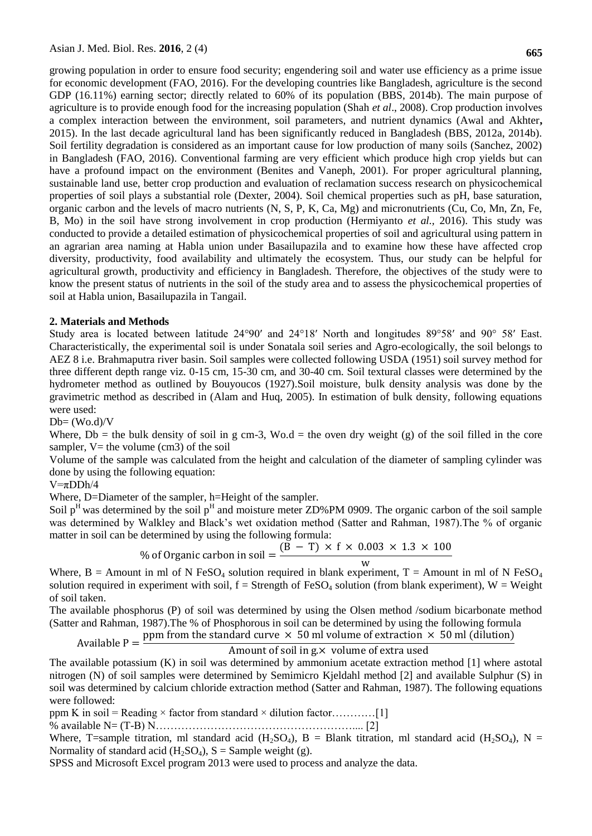growing population in order to ensure food security; engendering soil and water use efficiency as a prime issue for economic development (FAO, 2016). For the developing countries like Bangladesh, agriculture is the second GDP (16.11%) earning sector; directly related to 60% of its population (BBS, 2014b). The main purpose of agriculture is to provide enough food for the increasing population (Shah *et al*., 2008). Crop production involves a complex interaction between the environment, soil parameters, and nutrient dynamics (Awal and Akhter**,** 2015). In the last decade agricultural land has been significantly reduced in Bangladesh (BBS, 2012a, 2014b). Soil fertility degradation is considered as an important cause for low production of many soils (Sanchez, 2002) in Bangladesh (FAO, 2016). Conventional farming are very efficient which produce high crop yields but can have a profound impact on the environment (Benites and Vaneph, 2001). For proper agricultural planning, sustainable land use, better crop production and evaluation of reclamation success research on physicochemical properties of soil plays a substantial role (Dexter, 2004). Soil chemical properties such as pH, base saturation, organic carbon and the levels of macro nutrients (N, S, P, K, Ca, Mg) and micronutrients (Cu, Co, Mn, Zn, Fe, B, Mo) in the soil have strong involvement in crop production (Hermiyanto *et al.,* 2016). This study was conducted to provide a detailed estimation of physicochemical properties of soil and agricultural using pattern in an agrarian area naming at Habla union under Basailupazila and to examine how these have affected crop diversity, productivity, food availability and ultimately the ecosystem. Thus, our study can be helpful for agricultural growth, productivity and efficiency in Bangladesh. Therefore, the objectives of the study were to know the present status of nutrients in the soil of the study area and to assess the physicochemical properties of soil at Habla union, Basailupazila in Tangail.

## **2. Materials and Methods**

Study area is located between latitude 24°90′ and 24°18′ North and longitudes 89°58′ and 90° 58′ East. Characteristically, the experimental soil is under Sonatala soil series and Agro-ecologically, the soil belongs to AEZ 8 i.e. Brahmaputra river basin. Soil samples were collected following USDA (1951) soil survey method for three different depth range viz. 0-15 cm, 15-30 cm, and 30-40 cm. Soil textural classes were determined by the hydrometer method as outlined by Bouyoucos (1927).Soil moisture, bulk density analysis was done by the gravimetric method as described in (Alam and Huq, 2005). In estimation of bulk density, following equations were used:

 $Db = (Wo.d)/V$ 

Where,  $Db =$  the bulk density of soil in g cm-3, Wo.d = the oven dry weight (g) of the soil filled in the core sampler,  $V=$  the volume (cm3) of the soil

Volume of the sample was calculated from the height and calculation of the diameter of sampling cylinder was done by using the following equation:

## $V = \pi D D h/4$

Where, D=Diameter of the sampler, h=Height of the sampler.

Soil  $p<sup>H</sup>$  was determined by the soil  $p<sup>H</sup>$  and moisture meter ZD%PM 0909. The organic carbon of the soil sample was determined by Walkley and Black's wet oxidation method (Satter and Rahman, 1987). The % of organic matter in soil can be determined by using the following formula:

 $\frac{0}{0}$  $\overline{(\ }$ W

Where, B = Amount in ml of N FeSO<sub>4</sub> solution required in blank experiment, T = Amount in ml of N FeSO<sub>4</sub> solution required in experiment with soil,  $f =$  Strength of FeSO<sub>4</sub> solution (from blank experiment),  $W =$  Weight of soil taken.

The available phosphorus (P) of soil was determined by using the Olsen method /sodium bicarbonate method (Satter and Rahman, 1987).The % of Phosphorous in soil can be determined by using the following formula

Available  $P =$ ppm from the standard curve  $\times$  50 ml volume of extraction  $\times$  50 ml (dilution)

Amount of soil in g.× volume of extra used

The available potassium (K) in soil was determined by ammonium acetate extraction method [1] where astotal nitrogen (N) of soil samples were determined by Semimicro Kjeldahl method [2] and available Sulphur (S) in soil was determined by calcium chloride extraction method (Satter and Rahman, 1987). The following equations were followed:

ppm K in soil = Reading × factor from standard × dilution factor…………[1]

% available N= (T-B) N……………………………………………….... [2]

Where, T=sample titration, ml standard acid (H<sub>2</sub>SO<sub>4</sub>), B = Blank titration, ml standard acid (H<sub>2</sub>SO<sub>4</sub>), N = Normality of standard acid ( $H_2SO_4$ ),  $S =$  Sample weight (g).

SPSS and Microsoft Excel program 2013 were used to process and analyze the data.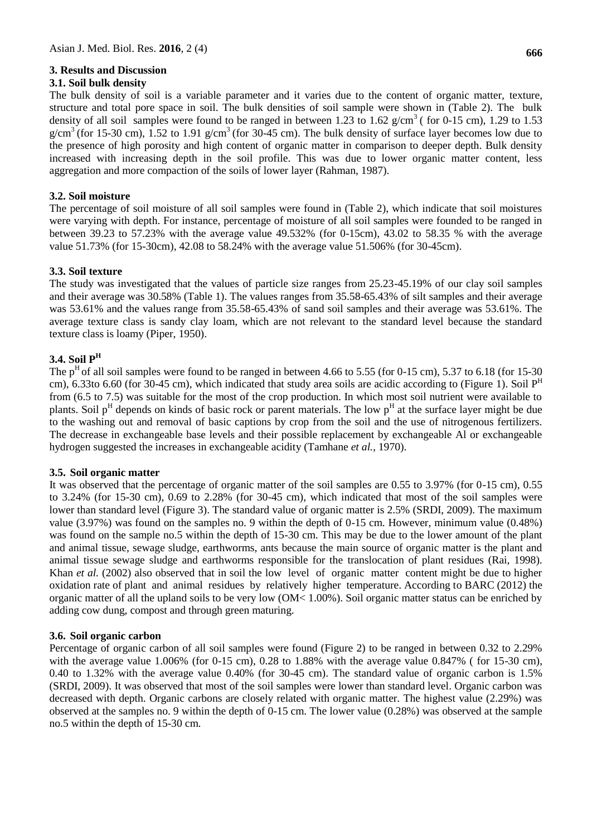### **3. Results and Discussion**

### **3.1. Soil bulk density**

The bulk density of soil is a variable parameter and it varies due to the content of organic matter, texture, structure and total pore space in soil. The bulk densities of soil sample were shown in (Table 2). The bulk density of all soil samples were found to be ranged in between 1.23 to 1.62 g/cm<sup>3</sup> (for 0-15 cm), 1.29 to 1.53 g/cm<sup>3</sup> (for 15-30 cm), 1.52 to 1.91 g/cm<sup>3</sup> (for 30-45 cm). The bulk density of surface layer becomes low due to the presence of high porosity and high content of organic matter in comparison to deeper depth. Bulk density increased with increasing depth in the soil profile. This was due to lower organic matter content, less aggregation and more compaction of the soils of lower layer (Rahman, 1987).

### **3.2. Soil moisture**

The percentage of soil moisture of all soil samples were found in (Table 2), which indicate that soil moistures were varying with depth. For instance, percentage of moisture of all soil samples were founded to be ranged in between 39.23 to 57.23% with the average value 49.532% (for 0-15cm), 43.02 to 58.35 % with the average value 51.73% (for 15-30cm), 42.08 to 58.24% with the average value 51.506% (for 30-45cm).

## **3.3. Soil texture**

The study was investigated that the values of particle size ranges from 25.23-45.19% of our clay soil samples and their average was 30.58% (Table 1). The values ranges from 35.58-65.43% of silt samples and their average was 53.61% and the values range from 35.58-65.43% of sand soil samples and their average was 53.61%. The average texture class is sandy clay loam, which are not relevant to the standard level because the standard texture class is loamy (Piper, 1950).

## **3.4. Soil P<sup>H</sup>**

The p<sup>H</sup> of all soil samples were found to be ranged in between 4.66 to 5.55 (for 0-15 cm), 5.37 to 6.18 (for 15-30) cm), 6.33to 6.60 (for 30-45 cm), which indicated that study area soils are acidic according to (Figure 1). Soil  $P<sup>H</sup>$ from (6.5 to 7.5) was suitable for the most of the crop production. In which most soil nutrient were available to plants. Soil p<sup>H</sup> depends on kinds of basic rock or parent materials. The low p<sup>H</sup> at the surface layer might be due to the washing out and removal of basic captions by crop from the soil and the use of nitrogenous fertilizers. The decrease in exchangeable base levels and their possible replacement by exchangeable Al or exchangeable hydrogen suggested the increases in exchangeable acidity (Tamhane *et al.,* 1970).

## **3.5. Soil organic matter**

It was observed that the percentage of organic matter of the soil samples are 0.55 to 3.97% (for 0-15 cm), 0.55 to 3.24% (for 15-30 cm), 0.69 to 2.28% (for 30-45 cm), which indicated that most of the soil samples were lower than standard level (Figure 3). The standard value of organic matter is 2.5% (SRDI, 2009). The maximum value (3.97%) was found on the samples no. 9 within the depth of 0-15 cm. However, minimum value (0.48%) was found on the sample no.5 within the depth of 15-30 cm. This may be due to the lower amount of the plant and animal tissue, sewage sludge, earthworms, ants because the main source of organic matter is the plant and animal tissue sewage sludge and earthworms responsible for the translocation of plant residues (Rai, 1998). Khan *et al.* (2002) also observed that in soil the low level of organic matter content might be due to higher oxidation rate of plant and animal residues by relatively higher temperature. According to BARC (2012) the organic matter of all the upland soils to be very low (OM< 1.00%). Soil organic matter status can be enriched by adding cow dung, compost and through green maturing.

## **3.6. Soil organic carbon**

Percentage of organic carbon of all soil samples were found (Figure 2) to be ranged in between 0.32 to 2.29% with the average value  $1.006\%$  (for 0-15 cm), 0.28 to 1.88% with the average value 0.847% (for 15-30 cm), 0.40 to 1.32% with the average value 0.40% (for 30-45 cm). The standard value of organic carbon is 1.5% (SRDI, 2009). It was observed that most of the soil samples were lower than standard level. Organic carbon was decreased with depth. Organic carbons are closely related with organic matter. The highest value (2.29%) was observed at the samples no. 9 within the depth of 0-15 cm. The lower value (0.28%) was observed at the sample no.5 within the depth of 15-30 cm.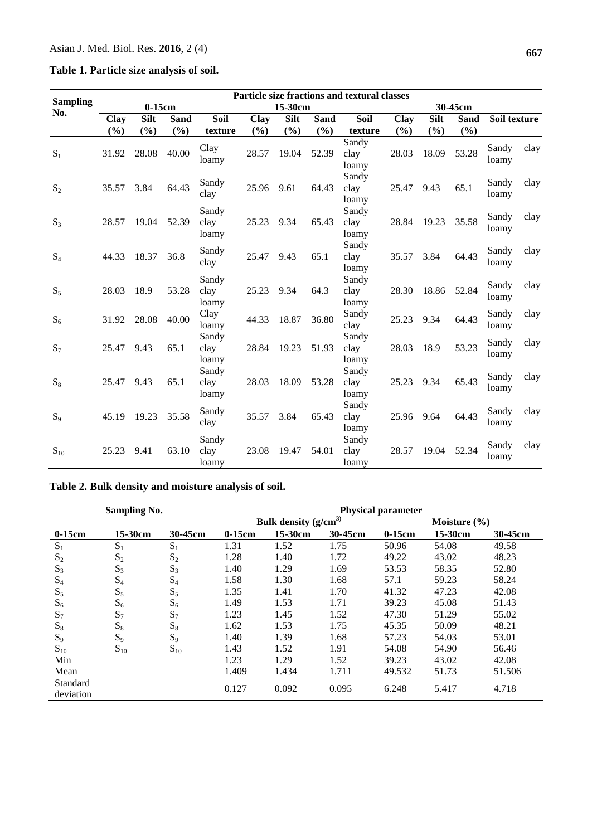**Table 1. Particle size analysis of soil.**

|                        | Particle size fractions and textural classes |             |             |                        |         |             |             |                        |        |             |             |                |      |
|------------------------|----------------------------------------------|-------------|-------------|------------------------|---------|-------------|-------------|------------------------|--------|-------------|-------------|----------------|------|
| <b>Sampling</b><br>No. | $0-15cm$                                     |             |             |                        | 15-30cm |             |             |                        |        | 30-45cm     |             |                |      |
|                        | Clay                                         | <b>Silt</b> | <b>Sand</b> | Soil                   | Clay    | <b>Silt</b> | <b>Sand</b> | Soil                   | Clay   | <b>Silt</b> | <b>Sand</b> | Soil texture   |      |
|                        | $(\%)$                                       | $(\%)$      | (%)         | texture                | $(\%)$  | (%)         | (%)         | texture                | $(\%)$ | $(\%)$      | (%)         |                |      |
| $S_1$                  | 31.92                                        | 28.08       | 40.00       | Clay<br>loamy          | 28.57   | 19.04       | 52.39       | Sandy<br>clay<br>loamy | 28.03  | 18.09       | 53.28       | Sandy<br>loamy | clay |
| $S_2$                  | 35.57                                        | 3.84        | 64.43       | Sandy<br>clay          | 25.96   | 9.61        | 64.43       | Sandy<br>clay<br>loamy | 25.47  | 9.43        | 65.1        | Sandy<br>loamy | clay |
| $S_3$                  | 28.57                                        | 19.04       | 52.39       | Sandy<br>clay<br>loamy | 25.23   | 9.34        | 65.43       | Sandy<br>clay<br>loamy | 28.84  | 19.23       | 35.58       | Sandy<br>loamy | clay |
| $S_4$                  | 44.33                                        | 18.37       | 36.8        | Sandy<br>clay          | 25.47   | 9.43        | 65.1        | Sandy<br>clay<br>loamy | 35.57  | 3.84        | 64.43       | Sandy<br>loamy | clay |
| $S_5$                  | 28.03                                        | 18.9        | 53.28       | Sandy<br>clay<br>loamy | 25.23   | 9.34        | 64.3        | Sandy<br>clay<br>loamy | 28.30  | 18.86       | 52.84       | Sandy<br>loamy | clay |
| $S_6$                  | 31.92                                        | 28.08       | 40.00       | Clay<br>loamy          | 44.33   | 18.87       | 36.80       | Sandy<br>clay          | 25.23  | 9.34        | 64.43       | Sandy<br>loamy | clay |
| $S_7$                  | 25.47                                        | 9.43        | 65.1        | Sandy<br>clay<br>loamy | 28.84   | 19.23       | 51.93       | Sandy<br>clay<br>loamy | 28.03  | 18.9        | 53.23       | Sandy<br>loamy | clay |
| $S_8$                  | 25.47                                        | 9.43        | 65.1        | Sandy<br>clay<br>loamy | 28.03   | 18.09       | 53.28       | Sandy<br>clay<br>loamy | 25.23  | 9.34        | 65.43       | Sandy<br>loamy | clay |
| $S_9$                  | 45.19                                        | 19.23       | 35.58       | Sandy<br>clay          | 35.57   | 3.84        | 65.43       | Sandy<br>clay<br>loamy | 25.96  | 9.64        | 64.43       | Sandy<br>loamy | clay |
| $S_{10}$               | 25.23                                        | 9.41        | 63.10       | Sandy<br>clay<br>loamy | 23.08   | 19.47       | 54.01       | Sandy<br>clay<br>loamy | 28.57  | 19.04       | 52.34       | Sandy<br>loamy | clay |

# **Table 2. Bulk density and moisture analysis of soil.**

|                       | <b>Sampling No.</b> |          | <b>Physical parameter</b> |                           |         |                  |         |         |  |  |  |
|-----------------------|---------------------|----------|---------------------------|---------------------------|---------|------------------|---------|---------|--|--|--|
|                       |                     |          |                           | Bulk density $(g/cm^{3})$ |         | Moisture $(\% )$ |         |         |  |  |  |
| $0-15cm$              | 15-30cm             | 30-45cm  | $0-15cm$                  | 15-30cm                   | 30-45cm | $0-15cm$         | 15-30cm | 30-45cm |  |  |  |
| $S_1$                 | $S_1$               | $S_1$    | 1.31                      | 1.52                      | 1.75    | 50.96            | 54.08   | 49.58   |  |  |  |
| $S_2$                 | $S_2$               | $S_2$    | 1.28                      | 1.40                      | 1.72    | 49.22            | 43.02   | 48.23   |  |  |  |
| $S_3$                 | $S_3$               | $S_3$    | 1.40                      | 1.29                      | 1.69    | 53.53            | 58.35   | 52.80   |  |  |  |
| $S_4$                 | $S_4$               | $S_4$    | 1.58                      | 1.30                      | 1.68    | 57.1             | 59.23   | 58.24   |  |  |  |
| $S_5$                 | $S_5$               | $S_5$    | 1.35                      | 1.41                      | 1.70    | 41.32            | 47.23   | 42.08   |  |  |  |
| $S_6$                 | $S_6$               | $S_6$    | 1.49                      | 1.53                      | 1.71    | 39.23            | 45.08   | 51.43   |  |  |  |
| $S_7$                 | $S_7$               | $S_7$    | 1.23                      | 1.45                      | 1.52    | 47.30            | 51.29   | 55.02   |  |  |  |
| $S_8$                 | $S_8$               | $S_8$    | 1.62                      | 1.53                      | 1.75    | 45.35            | 50.09   | 48.21   |  |  |  |
| $S_9$                 | $S_9$               | $S_9$    | 1.40                      | 1.39                      | 1.68    | 57.23            | 54.03   | 53.01   |  |  |  |
| $S_{10}$              | $S_{10}$            | $S_{10}$ | 1.43                      | 1.52                      | 1.91    | 54.08            | 54.90   | 56.46   |  |  |  |
| Min                   |                     |          | 1.23                      | 1.29                      | 1.52    | 39.23            | 43.02   | 42.08   |  |  |  |
| Mean                  |                     |          | 1.409                     | 1.434                     | 1.711   | 49.532           | 51.73   | 51.506  |  |  |  |
| Standard<br>deviation |                     |          | 0.127                     | 0.092                     | 0.095   | 6.248            | 5.417   | 4.718   |  |  |  |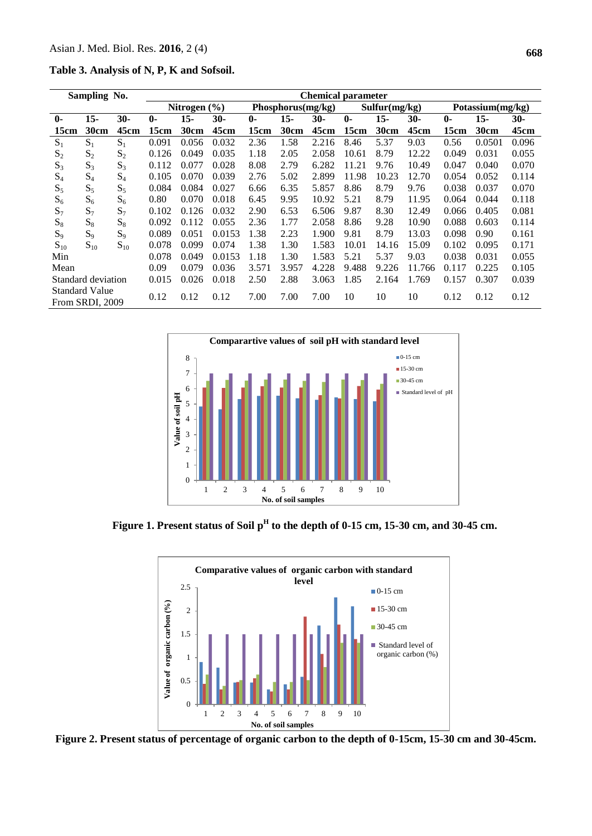**Table 3. Analysis of N, P, K and Sofsoil.**

| Sampling No.                             |          |              | <b>Chemical parameter</b> |        |                   |        |       |                                          |        |        |                  |        |       |
|------------------------------------------|----------|--------------|---------------------------|--------|-------------------|--------|-------|------------------------------------------|--------|--------|------------------|--------|-------|
|                                          |          | Nitrogen (%) |                           |        | Phosphorus(mg/kg) |        |       | $\overline{\text{Sulfur}}(\text{mg/kg})$ |        |        | Potassium(mg/kg) |        |       |
| $15 -$                                   | $30-$    | $\mathbf{0}$ | 15-                       | $30-$  | $\mathbf{0}$      | $15 -$ | 30-   | $\mathbf{0}$                             | $15 -$ | 30-    | $\mathbf{0}$     | $15 -$ | $30-$ |
| 30cm                                     | 45cm     | 15cm         | 30cm                      | 45cm   | 15cm              | 30cm   | 45cm  | 15cm                                     | 30cm   | 45cm   | 15cm             | 30cm   | 45cm  |
| $S_1$                                    | $S_1$    | 0.091        | 0.056                     | 0.032  | 2.36              | 1.58   | 2.216 | 8.46                                     | 5.37   | 9.03   | 0.56             | 0.0501 | 0.096 |
| $S_2$                                    | $S_2$    | 0.126        | 0.049                     | 0.035  | 1.18              | 2.05   | 2.058 | 10.61                                    | 8.79   | 12.22  | 0.049            | 0.031  | 0.055 |
| $S_3$                                    | $S_3$    | 0.112        | 0.077                     | 0.028  | 8.08              | 2.79   | 6.282 | 11.21                                    | 9.76   | 10.49  | 0.047            | 0.040  | 0.070 |
| $S_4$                                    | $S_4$    | 0.105        | 0.070                     | 0.039  | 2.76              | 5.02   | 2.899 | 11.98                                    | 10.23  | 12.70  | 0.054            | 0.052  | 0.114 |
| $S_5$                                    | $S_5$    | 0.084        | 0.084                     | 0.027  | 6.66              | 6.35   | 5.857 | 8.86                                     | 8.79   | 9.76   | 0.038            | 0.037  | 0.070 |
| $S_6$                                    | $S_6$    | 0.80         | 0.070                     | 0.018  | 6.45              | 9.95   | 10.92 | 5.21                                     | 8.79   | 11.95  | 0.064            | 0.044  | 0.118 |
| $S_7$                                    | $S_7$    | 0.102        | 0.126                     | 0.032  | 2.90              | 6.53   | 6.506 | 9.87                                     | 8.30   | 12.49  | 0.066            | 0.405  | 0.081 |
| $S_8$                                    | $S_8$    | 0.092        | 0.112                     | 0.055  | 2.36              | 1.77   | 2.058 | 8.86                                     | 9.28   | 10.90  | 0.088            | 0.603  | 0.114 |
| $S_9$                                    | $S_9$    | 0.089        | 0.051                     | 0.0153 | 1.38              | 2.23   | 1.900 | 9.81                                     | 8.79   | 13.03  | 0.098            | 0.90   | 0.161 |
| $S_{10}$                                 | $S_{10}$ | 0.078        | 0.099                     | 0.074  | 1.38              | 1.30   | 1.583 | 10.01                                    | 14.16  | 15.09  | 0.102            | 0.095  | 0.171 |
|                                          |          | 0.078        | 0.049                     | 0.0153 | 1.18              | 1.30   | 1.583 | 5.21                                     | 5.37   | 9.03   | 0.038            | 0.031  | 0.055 |
|                                          |          | 0.09         | 0.079                     | 0.036  | 3.571             | 3.957  | 4.228 | 9.488                                    | 9.226  | 11.766 | 0.117            | 0.225  | 0.105 |
| Standard deviation                       |          | 0.015        | 0.026                     | 0.018  | 2.50              | 2.88   | 3.063 | 1.85                                     | 2.164  | 1.769  | 0.157            | 0.307  | 0.039 |
| <b>Standard Value</b><br>From SRDI, 2009 |          | 0.12         | 0.12                      | 0.12   | 7.00              | 7.00   | 7.00  | 10                                       | 10     | 10     | 0.12             | 0.12   | 0.12  |
|                                          |          |              |                           |        |                   |        |       |                                          |        |        |                  |        |       |



**Figure 1. Present status of Soil p<sup>H</sup> to the depth of 0-15 cm, 15-30 cm, and 30-45 cm.**



**Figure 2. Present status of percentage of organic carbon to the depth of 0-15cm, 15-30 cm and 30-45cm.**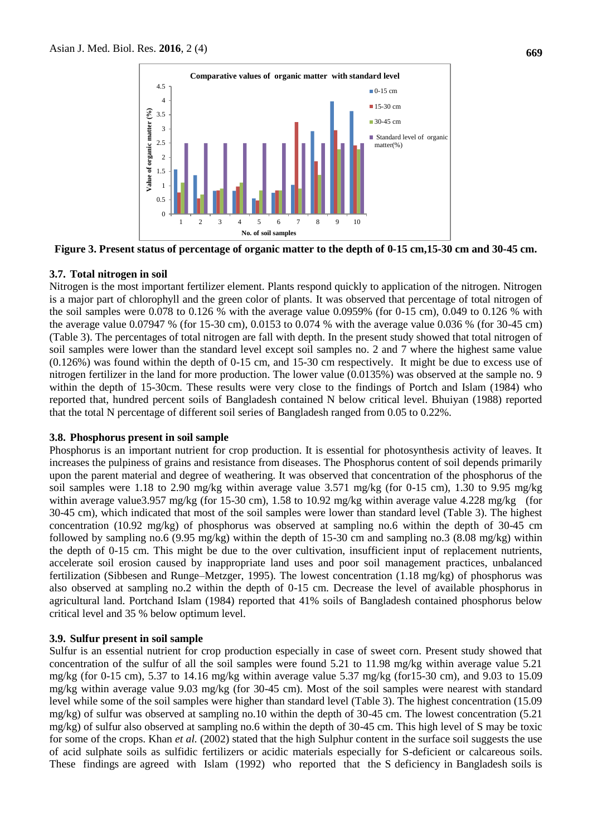

**Figure 3. Present status of percentage of organic matter to the depth of 0-15 cm,15-30 cm and 30-45 cm.**

### **3.7. Total nitrogen in soil**

Nitrogen is the most important fertilizer element. Plants respond quickly to application of the nitrogen. Nitrogen is a major part of chlorophyll and the green color of plants. It was observed that percentage of total nitrogen of the soil samples were 0.078 to 0.126 % with the average value 0.0959% (for 0-15 cm), 0.049 to 0.126 % with the average value 0.07947 % (for 15-30 cm), 0.0153 to 0.074 % with the average value 0.036 % (for 30-45 cm) (Table 3). The percentages of total nitrogen are fall with depth. In the present study showed that total nitrogen of soil samples were lower than the standard level except soil samples no. 2 and 7 where the highest same value (0.126%) was found within the depth of 0-15 cm, and 15-30 cm respectively. It might be due to excess use of nitrogen fertilizer in the land for more production. The lower value (0.0135%) was observed at the sample no. 9 within the depth of 15-30cm. These results were very close to the findings of Portch and Islam (1984) who reported that, hundred percent soils of Bangladesh contained N below critical level. Bhuiyan (1988) reported that the total N percentage of different soil series of Bangladesh ranged from 0.05 to 0.22%.

#### **3.8. Phosphorus present in soil sample**

Phosphorus is an important nutrient for crop production. It is essential for photosynthesis activity of leaves. It increases the pulpiness of grains and resistance from diseases. The Phosphorus content of soil depends primarily upon the parent material and degree of weathering. It was observed that concentration of the phosphorus of the soil samples were 1.18 to 2.90 mg/kg within average value 3.571 mg/kg (for 0-15 cm), 1.30 to 9.95 mg/kg within average value3.957 mg/kg (for 15-30 cm), 1.58 to 10.92 mg/kg within average value 4.228 mg/kg (for 30-45 cm), which indicated that most of the soil samples were lower than standard level (Table 3). The highest concentration (10.92 mg/kg) of phosphorus was observed at sampling no.6 within the depth of 30-45 cm followed by sampling no.6 (9.95 mg/kg) within the depth of 15-30 cm and sampling no.3 (8.08 mg/kg) within the depth of 0-15 cm. This might be due to the over cultivation, insufficient input of replacement nutrients, accelerate soil erosion caused by inappropriate land uses and poor soil management practices, unbalanced fertilization (Sibbesen and Runge–Metzger, 1995). The lowest concentration (1.18 mg/kg) of phosphorus was also observed at sampling no.2 within the depth of 0-15 cm. Decrease the level of available phosphorus in agricultural land. Portchand Islam (1984) reported that 41% soils of Bangladesh contained phosphorus below critical level and 35 % below optimum level.

#### **3.9. Sulfur present in soil sample**

Sulfur is an essential nutrient for crop production especially in case of sweet corn. Present study showed that concentration of the sulfur of all the soil samples were found 5.21 to 11.98 mg/kg within average value 5.21 mg/kg (for 0-15 cm), 5.37 to 14.16 mg/kg within average value 5.37 mg/kg (for15-30 cm), and 9.03 to 15.09 mg/kg within average value 9.03 mg/kg (for 30-45 cm). Most of the soil samples were nearest with standard level while some of the soil samples were higher than standard level (Table 3). The highest concentration (15.09 mg/kg) of sulfur was observed at sampling no.10 within the depth of 30-45 cm. The lowest concentration (5.21 mg/kg) of sulfur also observed at sampling no.6 within the depth of 30-45 cm. This high level of S may be toxic for some of the crops. Khan *et al.* (2002) stated that the high Sulphur content in the surface soil suggests the use of acid sulphate soils as sulfidic fertilizers or acidic materials especially for S-deficient or calcareous soils. These findings are agreed with Islam (1992) who reported that the S deficiency in Bangladesh soils is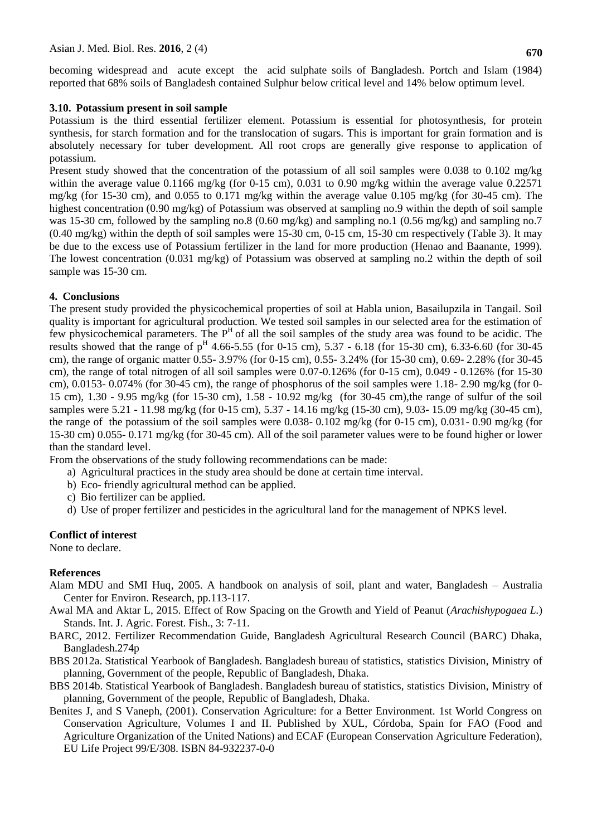becoming widespread and acute except the acid sulphate soils of Bangladesh. Portch and Islam (1984) reported that 68% soils of Bangladesh contained Sulphur below critical level and 14% below optimum level.

#### **3.10. Potassium present in soil sample**

Potassium is the third essential fertilizer element. Potassium is essential for photosynthesis, for protein synthesis, for starch formation and for the translocation of sugars. This is important for grain formation and is absolutely necessary for tuber development. All root crops are generally give response to application of potassium.

Present study showed that the concentration of the potassium of all soil samples were 0.038 to 0.102 mg/kg within the average value  $0.1166$  mg/kg (for 0-15 cm), 0.031 to 0.90 mg/kg within the average value 0.22571 mg/kg (for 15-30 cm), and 0.055 to 0.171 mg/kg within the average value 0.105 mg/kg (for 30-45 cm). The highest concentration (0.90 mg/kg) of Potassium was observed at sampling no.9 within the depth of soil sample was 15-30 cm, followed by the sampling no.8 (0.60 mg/kg) and sampling no.1 (0.56 mg/kg) and sampling no.7 (0.40 mg/kg) within the depth of soil samples were 15-30 cm, 0-15 cm, 15-30 cm respectively (Table 3). It may be due to the excess use of Potassium fertilizer in the land for more production (Henao and Baanante, 1999). The lowest concentration (0.031 mg/kg) of Potassium was observed at sampling no.2 within the depth of soil sample was 15-30 cm.

#### **4. Conclusions**

The present study provided the physicochemical properties of soil at Habla union, Basailupzila in Tangail. Soil quality is important for agricultural production. We tested soil samples in our selected area for the estimation of few physicochemical parameters. The  $P<sup>H</sup>$  of all the soil samples of the study area was found to be acidic. The results showed that the range of  $p^H$  4.66-5.55 (for 0-15 cm), 5.37 - 6.18 (for 15-30 cm), 6.33-6.60 (for 30-45 cm), the range of organic matter 0.55- 3.97% (for 0-15 cm), 0.55- 3.24% (for 15-30 cm), 0.69- 2.28% (for 30-45 cm), the range of total nitrogen of all soil samples were 0.07-0.126% (for 0-15 cm), 0.049 - 0.126% (for 15-30 cm),  $0.0153 - 0.074\%$  (for 30-45 cm), the range of phosphorus of the soil samples were 1.18-2.90 mg/kg (for 0-15 cm), 1.30 - 9.95 mg/kg (for 15-30 cm), 1.58 - 10.92 mg/kg (for 30-45 cm),the range of sulfur of the soil samples were 5.21 - 11.98 mg/kg (for 0-15 cm), 5.37 - 14.16 mg/kg (15-30 cm), 9.03- 15.09 mg/kg (30-45 cm), the range of the potassium of the soil samples were 0.038- 0.102 mg/kg (for 0-15 cm), 0.031- 0.90 mg/kg (for 15-30 cm) 0.055- 0.171 mg/kg (for 30-45 cm). All of the soil parameter values were to be found higher or lower than the standard level.

From the observations of the study following recommendations can be made:

- a) Agricultural practices in the study area should be done at certain time interval.
- b) Eco- friendly agricultural method can be applied.
- c) Bio fertilizer can be applied.
- d) Use of proper fertilizer and pesticides in the agricultural land for the management of NPKS level.

#### **Conflict of interest**

None to declare.

#### **References**

- Alam MDU and SMI Huq, 2005. A handbook on analysis of soil, plant and water, Bangladesh Australia Center for Environ. Research, pp.113-117.
- Awal MA and Aktar L, 2015. Effect of Row Spacing on the Growth and Yield of Peanut (*Arachishypogaea L.*) Stands. Int. J. Agric. Forest. Fish., 3: 7-11.
- BARC, 2012. Fertilizer Recommendation Guide, Bangladesh Agricultural Research Council (BARC) Dhaka, Bangladesh.274p
- BBS 2012a. Statistical Yearbook of Bangladesh. Bangladesh bureau of statistics, statistics Division, Ministry of planning, Government of the people, Republic of Bangladesh, Dhaka.
- BBS 2014b. Statistical Yearbook of Bangladesh. Bangladesh bureau of statistics, statistics Division, Ministry of planning, Government of the people, Republic of Bangladesh, Dhaka.
- Benites J, and S Vaneph, (2001). Conservation Agriculture: for a Better Environment. 1st World Congress on Conservation Agriculture, Volumes I and II. Published by XUL, Córdoba, Spain for FAO (Food and Agriculture Organization of the United Nations) and ECAF (European Conservation Agriculture Federation), EU Life Project 99/E/308. ISBN 84-932237-0-0